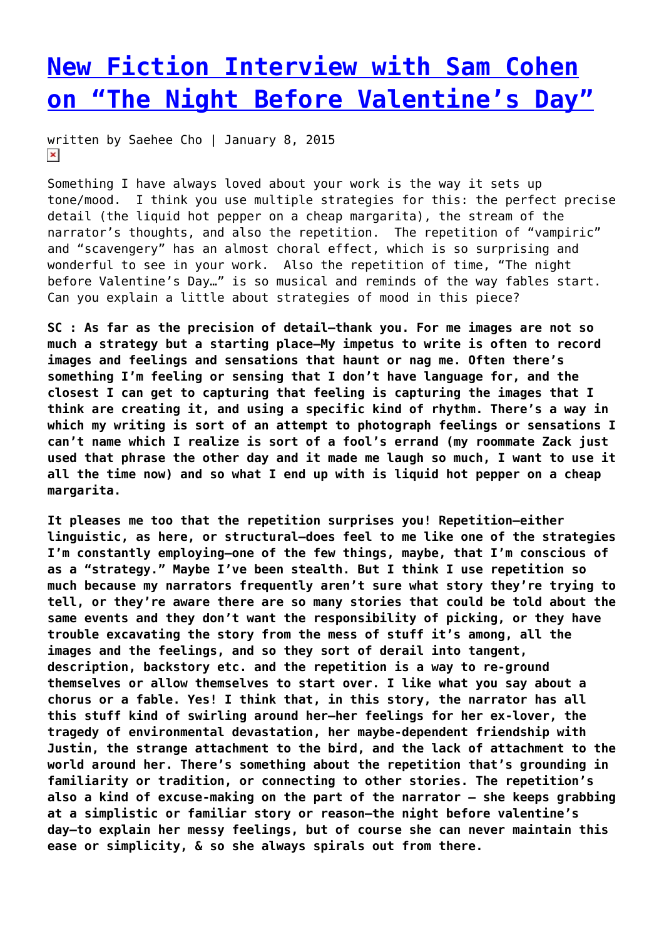## **[New Fiction Interview with Sam Cohen](https://entropymag.org/new-fiction-interview-with-sam-cohen-on-the-night-before-valentines-day/) [on "The Night Before Valentine's Day"](https://entropymag.org/new-fiction-interview-with-sam-cohen-on-the-night-before-valentines-day/)**

written by Saehee Cho | January 8, 2015  $\pmb{\times}$ 

Something I have always loved about your work is the way it sets up tone/mood. I think you use multiple strategies for this: the perfect precise detail (the liquid hot pepper on a cheap margarita), the stream of the narrator's thoughts, and also the repetition. The repetition of "vampiric" and "scavengery" has an almost choral effect, which is so surprising and wonderful to see in your work. Also the repetition of time, "The night before Valentine's Day…" is so musical and reminds of the way fables start. Can you explain a little about strategies of mood in this piece?

**SC : As far as the precision of detail–thank you. For me images are not so much a strategy but a starting place–My impetus to write is often to record images and feelings and sensations that haunt or nag me. Often there's something I'm feeling or sensing that I don't have language for, and the closest I can get to capturing that feeling is capturing the images that I think are creating it, and using a specific kind of rhythm. There's a way in which my writing is sort of an attempt to photograph feelings or sensations I can't name which I realize is sort of a fool's errand (my roommate Zack just used that phrase the other day and it made me laugh so much, I want to use it all the time now) and so what I end up with is liquid hot pepper on a cheap margarita.** 

**It pleases me too that the repetition surprises you! Repetition–either linguistic, as here, or structural–does feel to me like one of the strategies I'm constantly employing–one of the few things, maybe, that I'm conscious of as a "strategy." Maybe I've been stealth. But I think I use repetition so much because my narrators frequently aren't sure what story they're trying to tell, or they're aware there are so many stories that could be told about the same events and they don't want the responsibility of picking, or they have trouble excavating the story from the mess of stuff it's among, all the images and the feelings, and so they sort of derail into tangent, description, backstory etc. and the repetition is a way to re-ground themselves or allow themselves to start over. I like what you say about a chorus or a fable. Yes! I think that, in this story, the narrator has all this stuff kind of swirling around her–her feelings for her ex-lover, the tragedy of environmental devastation, her maybe-dependent friendship with Justin, the strange attachment to the bird, and the lack of attachment to the world around her. There's something about the repetition that's grounding in familiarity or tradition, or connecting to other stories. The repetition's also a kind of excuse-making on the part of the narrator — she keeps grabbing at a simplistic or familiar story or reason–the night before valentine's day–to explain her messy feelings, but of course she can never maintain this ease or simplicity, & so she always spirals out from there.**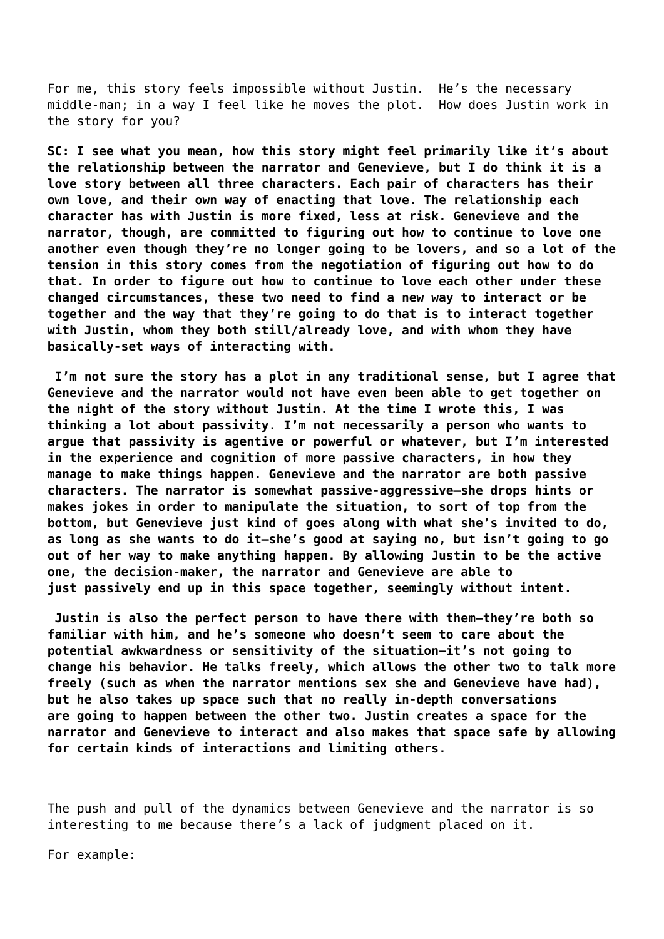For me, this story feels impossible without Justin. He's the necessary middle-man; in a way I feel like he moves the plot. How does Justin work in the story for you?

**SC: I see what you mean, how this story might feel primarily like it's about the relationship between the narrator and Genevieve, but I do think it is a love story between all three characters. Each pair of characters has their own love, and their own way of enacting that love. The relationship each character has with Justin is more fixed, less at risk. Genevieve and the narrator, though, are committed to figuring out how to continue to love one another even though they're no longer going to be lovers, and so a lot of the tension in this story comes from the negotiation of figuring out how to do that. In order to figure out how to continue to love each other under these changed circumstances, these two need to find a new way to interact or be together and the way that they're going to do that is to interact together with Justin, whom they both still/already love, and with whom they have basically-set ways of interacting with.** 

**I'm not sure the story has a plot in any traditional sense, but I agree that Genevieve and the narrator would not have even been able to get together on the night of the story without Justin. At the time I wrote this, I was thinking a lot about passivity. I'm not necessarily a person who wants to argue that passivity is agentive or powerful or whatever, but I'm interested in the experience and cognition of more passive characters, in how they manage to make things happen. Genevieve and the narrator are both passive characters. The narrator is somewhat passive-aggressive–she drops hints or makes jokes in order to manipulate the situation, to sort of top from the bottom, but Genevieve just kind of goes along with what she's invited to do, as long as she wants to do it–she's good at saying no, but isn't going to go out of her way to make anything happen. By allowing Justin to be the active one, the decision-maker, the narrator and Genevieve are able to just passively end up in this space together, seemingly without intent.**

**Justin is also the perfect person to have there with them–they're both so familiar with him, and he's someone who doesn't seem to care about the potential awkwardness or sensitivity of the situation–it's not going to change his behavior. He talks freely, which allows the other two to talk more freely (such as when the narrator mentions sex she and Genevieve have had), but he also takes up space such that no really in-depth conversations are going to happen between the other two. Justin creates a space for the narrator and Genevieve to interact and also makes that space safe by allowing for certain kinds of interactions and limiting others.**

The push and pull of the dynamics between Genevieve and the narrator is so interesting to me because there's a lack of judgment placed on it.

For example: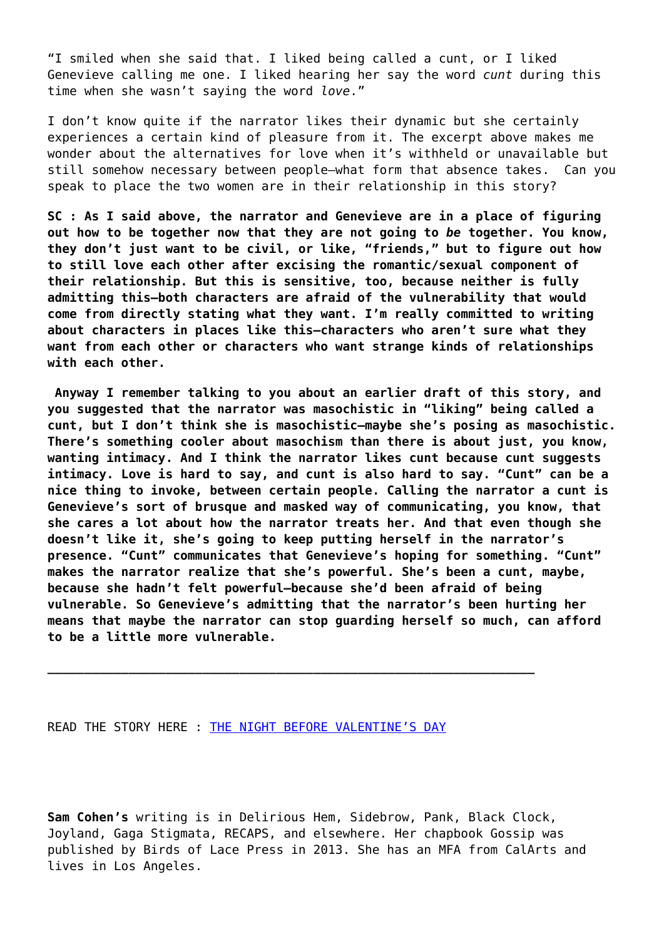"I smiled when she said that. I liked being called a cunt, or I liked Genevieve calling me one. I liked hearing her say the word *cunt* during this time when she wasn't saying the word *love*."

I don't know quite if the narrator likes their dynamic but she certainly experiences a certain kind of pleasure from it. The excerpt above makes me wonder about the alternatives for love when it's withheld or unavailable but still somehow necessary between people—what form that absence takes. Can you speak to place the two women are in their relationship in this story?

**SC : As I said above, the narrator and Genevieve are in a place of figuring out how to be together now that they are not going to** *be* **together. You know, they don't just want to be civil, or like, "friends," but to figure out how to still love each other after excising the romantic/sexual component of their relationship. But this is sensitive, too, because neither is fully admitting this–both characters are afraid of the vulnerability that would come from directly stating what they want. I'm really committed to writing about characters in places like this–characters who aren't sure what they want from each other or characters who want strange kinds of relationships with each other.** 

**Anyway I remember talking to you about an earlier draft of this story, and you suggested that the narrator was masochistic in "liking" being called a cunt, but I don't think she is masochistic–maybe she's posing as masochistic. There's something cooler about masochism than there is about just, you know, wanting intimacy. And I think the narrator likes cunt because cunt suggests intimacy. Love is hard to say, and cunt is also hard to say. "Cunt" can be a nice thing to invoke, between certain people. Calling the narrator a cunt is Genevieve's sort of brusque and masked way of communicating, you know, that she cares a lot about how the narrator treats her. And that even though she doesn't like it, she's going to keep putting herself in the narrator's presence. "Cunt" communicates that Genevieve's hoping for something. "Cunt" makes the narrator realize that she's powerful. She's been a cunt, maybe, because she hadn't felt powerful–because she'd been afraid of being vulnerable. So Genevieve's admitting that the narrator's been hurting her means that maybe the narrator can stop guarding herself so much, can afford to be a little more vulnerable.**

READ THE STORY HERE : [THE NIGHT BEFORE VALENTINE'S DAY](https://entropymag.org/new-fiction-the-night-before-valentines-day-by-sam-cohen/)

**\_\_\_\_\_\_\_\_\_\_\_\_\_\_\_\_\_\_\_\_\_\_\_\_\_\_\_\_\_\_\_\_\_\_\_\_\_\_\_\_\_\_\_\_\_\_\_\_\_\_\_\_\_\_\_\_\_\_\_\_\_\_\_\_\_\_**

**Sam Cohen's** writing is in Delirious Hem, Sidebrow, Pank, Black Clock, Joyland, Gaga Stigmata, RECAPS, and elsewhere. Her chapbook Gossip was published by Birds of Lace Press in 2013. She has an MFA from CalArts and lives in Los Angeles.